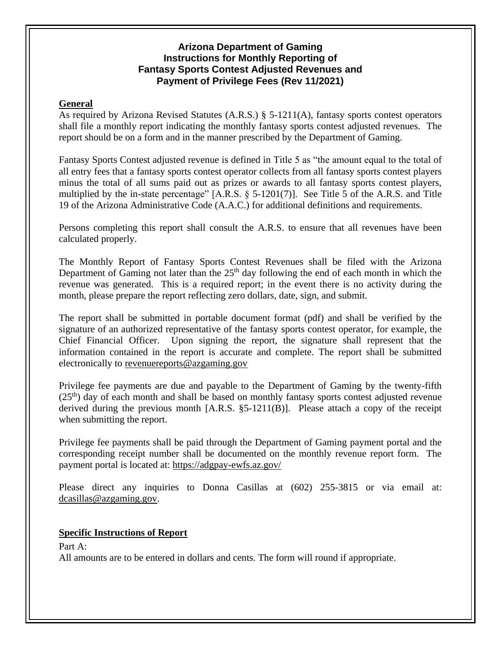## **Arizona Department of Gaming Instructions for Monthly Reporting of Fantasy Sports Contest Adjusted Revenues and Payment of Privilege Fees (Rev 11/2021)**

## **General**

As required by Arizona Revised Statutes (A.R.S.) § 5-1211(A), fantasy sports contest operators shall file a monthly report indicating the monthly fantasy sports contest adjusted revenues. The report should be on a form and in the manner prescribed by the Department of Gaming.

Fantasy Sports Contest adjusted revenue is defined in Title 5 as "the amount equal to the total of all entry fees that a fantasy sports contest operator collects from all fantasy sports contest players minus the total of all sums paid out as prizes or awards to all fantasy sports contest players, multiplied by the in-state percentage" [A.R.S. § 5-1201(7)]. See Title 5 of the A.R.S. and Title 19 of the Arizona Administrative Code (A.A.C.) for additional definitions and requirements.

Persons completing this report shall consult the A.R.S. to ensure that all revenues have been calculated properly.

The Monthly Report of Fantasy Sports Contest Revenues shall be filed with the Arizona Department of Gaming not later than the  $25<sup>th</sup>$  day following the end of each month in which the revenue was generated. This is a required report; in the event there is no activity during the month, please prepare the report reflecting zero dollars, date, sign, and submit.

The report shall be submitted in portable document format (pdf) and shall be verified by the signature of an authorized representative of the fantasy sports contest operator, for example, the Chief Financial Officer. Upon signing the report, the signature shall represent that the information contained in the report is accurate and complete. The report shall be submitted electronically to [revenuereports@azgaming.gov](mailto:revenuereports@azgaming.gov)

Privilege fee payments are due and payable to the Department of Gaming by the twenty-fifth  $(25<sup>th</sup>)$  day of each month and shall be based on monthly fantasy sports contest adjusted revenue derived during the previous month  $[A.R.S. §5-1211(B)]$ . Please attach a copy of the receipt when submitting the report.

Privilege fee payments shall be paid through the Department of Gaming payment portal and the corresponding receipt number shall be documented on the monthly revenue report form. The payment portal is located at: <https://adgpay-ewfs.az.gov/>

Please direct any inquiries to Donna Casillas at (602) 255-3815 or via email at: [dcasillas@azgaming.gov.](mailto:dcasillas@azgaming.gov)

## **Specific Instructions of Report**

Part A:

All amounts are to be entered in dollars and cents. The form will round if appropriate.